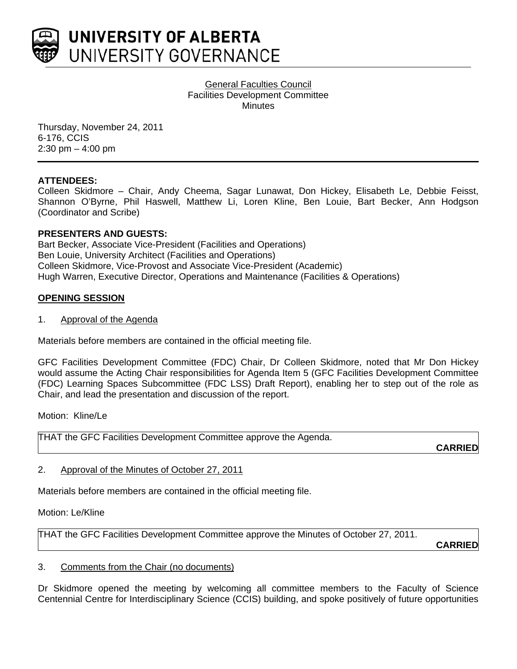

General Faculties Council Facilities Development Committee **Minutes** 

Thursday, November 24, 2011 6-176, CCIS 2:30 pm – 4:00 pm

#### **ATTENDEES:**

Colleen Skidmore – Chair, Andy Cheema, Sagar Lunawat, Don Hickey, Elisabeth Le, Debbie Feisst, Shannon O'Byrne, Phil Haswell, Matthew Li, Loren Kline, Ben Louie, Bart Becker, Ann Hodgson (Coordinator and Scribe)

#### **PRESENTERS AND GUESTS:**

Bart Becker, Associate Vice-President (Facilities and Operations) Ben Louie, University Architect (Facilities and Operations) Colleen Skidmore, Vice-Provost and Associate Vice-President (Academic) Hugh Warren, Executive Director, Operations and Maintenance (Facilities & Operations)

#### **OPENING SESSION**

1. Approval of the Agenda

Materials before members are contained in the official meeting file.

GFC Facilities Development Committee (FDC) Chair, Dr Colleen Skidmore, noted that Mr Don Hickey would assume the Acting Chair responsibilities for Agenda Item 5 (GFC Facilities Development Committee (FDC) Learning Spaces Subcommittee (FDC LSS) Draft Report), enabling her to step out of the role as Chair, and lead the presentation and discussion of the report.

Motion: Kline/Le

THAT the GFC Facilities Development Committee approve the Agenda.

**CARRIED**

#### 2. Approval of the Minutes of October 27, 2011

Materials before members are contained in the official meeting file.

Motion: Le/Kline

THAT the GFC Facilities Development Committee approve the Minutes of October 27, 2011.

**CARRIED**

#### 3. Comments from the Chair (no documents)

Dr Skidmore opened the meeting by welcoming all committee members to the Faculty of Science Centennial Centre for Interdisciplinary Science (CCIS) building, and spoke positively of future opportunities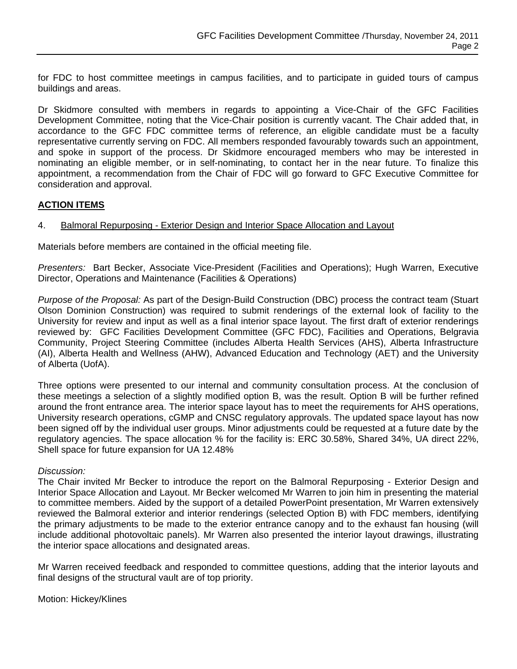for FDC to host committee meetings in campus facilities, and to participate in guided tours of campus buildings and areas.

Dr Skidmore consulted with members in regards to appointing a Vice-Chair of the GFC Facilities Development Committee, noting that the Vice-Chair position is currently vacant. The Chair added that, in accordance to the GFC FDC committee terms of reference, an eligible candidate must be a faculty representative currently serving on FDC. All members responded favourably towards such an appointment, and spoke in support of the process. Dr Skidmore encouraged members who may be interested in nominating an eligible member, or in self-nominating, to contact her in the near future. To finalize this appointment, a recommendation from the Chair of FDC will go forward to GFC Executive Committee for consideration and approval.

## **ACTION ITEMS**

## 4. Balmoral Repurposing - Exterior Design and Interior Space Allocation and Layout

Materials before members are contained in the official meeting file.

*Presenters:* Bart Becker, Associate Vice-President (Facilities and Operations); Hugh Warren, Executive Director, Operations and Maintenance (Facilities & Operations)

*Purpose of the Proposal:* As part of the Design-Build Construction (DBC) process the contract team (Stuart Olson Dominion Construction) was required to submit renderings of the external look of facility to the University for review and input as well as a final interior space layout. The first draft of exterior renderings reviewed by: GFC Facilities Development Committee (GFC FDC), Facilities and Operations, Belgravia Community, Project Steering Committee (includes Alberta Health Services (AHS), Alberta Infrastructure (AI), Alberta Health and Wellness (AHW), Advanced Education and Technology (AET) and the University of Alberta (UofA).

Three options were presented to our internal and community consultation process. At the conclusion of these meetings a selection of a slightly modified option B, was the result. Option B will be further refined around the front entrance area. The interior space layout has to meet the requirements for AHS operations, University research operations, cGMP and CNSC regulatory approvals. The updated space layout has now been signed off by the individual user groups. Minor adjustments could be requested at a future date by the regulatory agencies. The space allocation % for the facility is: ERC 30.58%, Shared 34%, UA direct 22%, Shell space for future expansion for UA 12.48%

#### *Discussion:*

The Chair invited Mr Becker to introduce the report on the Balmoral Repurposing - Exterior Design and Interior Space Allocation and Layout. Mr Becker welcomed Mr Warren to join him in presenting the material to committee members. Aided by the support of a detailed PowerPoint presentation, Mr Warren extensively reviewed the Balmoral exterior and interior renderings (selected Option B) with FDC members, identifying the primary adjustments to be made to the exterior entrance canopy and to the exhaust fan housing (will include additional photovoltaic panels). Mr Warren also presented the interior layout drawings, illustrating the interior space allocations and designated areas.

Mr Warren received feedback and responded to committee questions, adding that the interior layouts and final designs of the structural vault are of top priority.

Motion: Hickey/Klines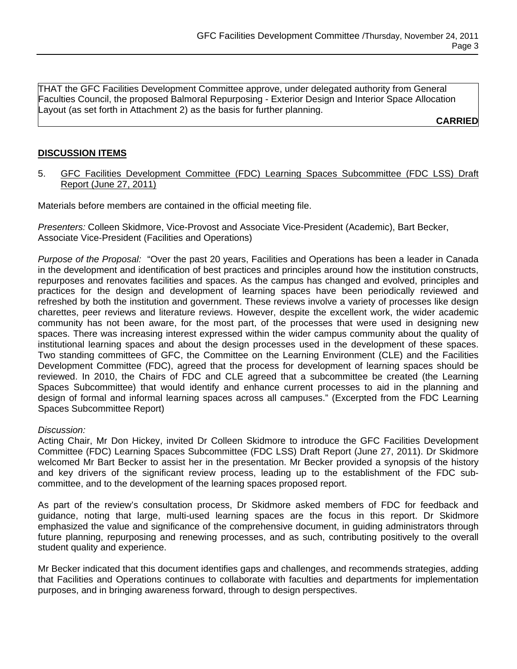THAT the GFC Facilities Development Committee approve, under delegated authority from General Faculties Council, the proposed Balmoral Repurposing - Exterior Design and Interior Space Allocation Layout (as set forth in Attachment 2) as the basis for further planning.

**CARRIED**

# **DISCUSSION ITEMS**

5. GFC Facilities Development Committee (FDC) Learning Spaces Subcommittee (FDC LSS) Draft Report (June 27, 2011)

Materials before members are contained in the official meeting file.

*Presenters:* Colleen Skidmore, Vice-Provost and Associate Vice-President (Academic), Bart Becker, Associate Vice-President (Facilities and Operations)

*Purpose of the Proposal:* "Over the past 20 years, Facilities and Operations has been a leader in Canada in the development and identification of best practices and principles around how the institution constructs, repurposes and renovates facilities and spaces. As the campus has changed and evolved, principles and practices for the design and development of learning spaces have been periodically reviewed and refreshed by both the institution and government. These reviews involve a variety of processes like design charettes, peer reviews and literature reviews. However, despite the excellent work, the wider academic community has not been aware, for the most part, of the processes that were used in designing new spaces. There was increasing interest expressed within the wider campus community about the quality of institutional learning spaces and about the design processes used in the development of these spaces. Two standing committees of GFC, the Committee on the Learning Environment (CLE) and the Facilities Development Committee (FDC), agreed that the process for development of learning spaces should be reviewed. In 2010, the Chairs of FDC and CLE agreed that a subcommittee be created (the Learning Spaces Subcommittee) that would identify and enhance current processes to aid in the planning and design of formal and informal learning spaces across all campuses." (Excerpted from the FDC Learning Spaces Subcommittee Report)

## *Discussion:*

Acting Chair, Mr Don Hickey, invited Dr Colleen Skidmore to introduce the GFC Facilities Development Committee (FDC) Learning Spaces Subcommittee (FDC LSS) Draft Report (June 27, 2011). Dr Skidmore welcomed Mr Bart Becker to assist her in the presentation. Mr Becker provided a synopsis of the history and key drivers of the significant review process, leading up to the establishment of the FDC subcommittee, and to the development of the learning spaces proposed report.

As part of the review's consultation process, Dr Skidmore asked members of FDC for feedback and guidance, noting that large, multi-used learning spaces are the focus in this report. Dr Skidmore emphasized the value and significance of the comprehensive document, in guiding administrators through future planning, repurposing and renewing processes, and as such, contributing positively to the overall student quality and experience.

Mr Becker indicated that this document identifies gaps and challenges, and recommends strategies, adding that Facilities and Operations continues to collaborate with faculties and departments for implementation purposes, and in bringing awareness forward, through to design perspectives.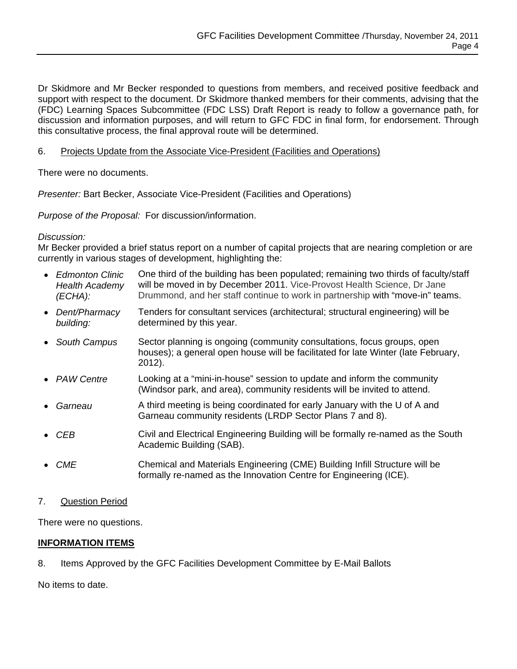Dr Skidmore and Mr Becker responded to questions from members, and received positive feedback and support with respect to the document. Dr Skidmore thanked members for their comments, advising that the (FDC) Learning Spaces Subcommittee (FDC LSS) Draft Report is ready to follow a governance path, for discussion and information purposes, and will return to GFC FDC in final form, for endorsement. Through this consultative process, the final approval route will be determined.

# 6. Projects Update from the Associate Vice-President (Facilities and Operations)

There were no documents.

*Presenter:* Bart Becker, Associate Vice-President (Facilities and Operations)

*Purpose of the Proposal:* For discussion/information.

## *Discussion:*

Mr Becker provided a brief status report on a number of capital projects that are nearing completion or are currently in various stages of development, highlighting the:

- *Edmonton Clinic Health Academy (ECHA):*  One third of the building has been populated; remaining two thirds of faculty/staff will be moved in by December 2011. Vice-Provost Health Science, Dr Jane Drummond, and her staff continue to work in partnership with "move-in" teams.
- *Dent/Pharmacy building:*  Tenders for consultant services (architectural; structural engineering) will be determined by this year.
- *South Campus* Sector planning is ongoing (community consultations, focus groups, open houses); a general open house will be facilitated for late Winter (late February, 2012).
- *PAW Centre* Looking at a "mini-in-house" session to update and inform the community (Windsor park, and area), community residents will be invited to attend.
- *Garneau* A third meeting is being coordinated for early January with the U of A and Garneau community residents (LRDP Sector Plans 7 and 8).
- CEB **CIVIL And Electrical Engineering Building will be formally re-named as the South** Academic Building (SAB).
- *CME* Chemical and Materials Engineering (CME) Building Infill Structure will be formally re-named as the Innovation Centre for Engineering (ICE).

## 7. Question Period

There were no questions.

## **INFORMATION ITEMS**

8. Items Approved by the GFC Facilities Development Committee by E-Mail Ballots

No items to date.